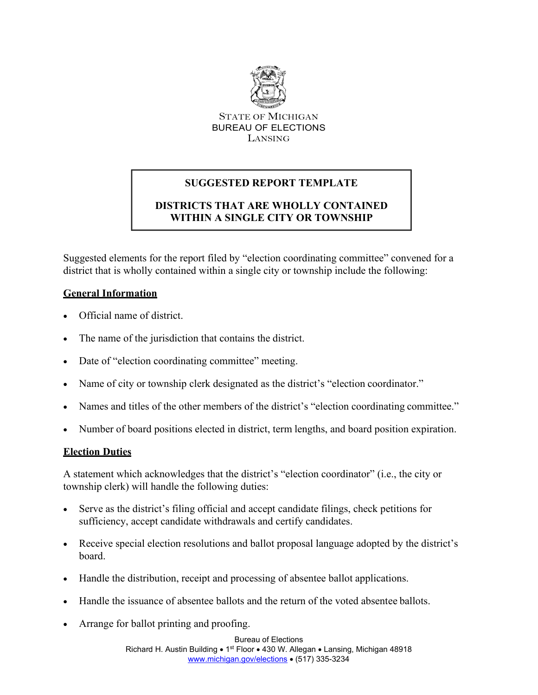

STATE OF MICHIGAN BUREAU OF ELECTIONS LANSING

# **SUGGESTED REPORT TEMPLATE**

## **DISTRICTS THAT ARE WHOLLY CONTAINED WITHIN A SINGLE CITY OR TOWNSHIP**

Suggested elements for the report filed by "election coordinating committee" convened for a district that is wholly contained within a single city or township include the following:

## **General Information**

- Official name of district.
- The name of the jurisdiction that contains the district.
- Date of "election coordinating committee" meeting.
- Name of city or township clerk designated as the district's "election coordinator."
- Names and titles of the other members of the district's "election coordinating committee."
- Number of board positions elected in district, term lengths, and board position expiration.

## **Election Duties**

A statement which acknowledges that the district's "election coordinator" (i.e., the city or township clerk) will handle the following duties:

- Serve as the district's filing official and accept candidate filings, check petitions for sufficiency, accept candidate withdrawals and certify candidates.
- Receive special election resolutions and ballot proposal language adopted by the district's board.
- Handle the distribution, receipt and processing of absentee ballot applications.
- Handle the issuance of absentee ballots and the return of the voted absentee ballots.
- Arrange for ballot printing and proofing.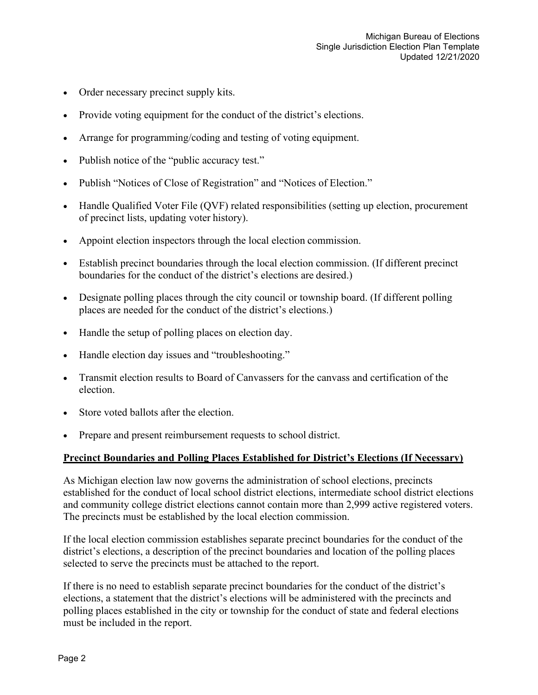- Order necessary precinct supply kits.
- Provide voting equipment for the conduct of the district's elections.
- Arrange for programming/coding and testing of voting equipment.
- Publish notice of the "public accuracy test."
- Publish "Notices of Close of Registration" and "Notices of Election."
- Handle Qualified Voter File (QVF) related responsibilities (setting up election, procurement of precinct lists, updating voter history).
- Appoint election inspectors through the local election commission.
- Establish precinct boundaries through the local election commission. (If different precinct boundaries for the conduct of the district's elections are desired.)
- Designate polling places through the city council or township board. (If different polling places are needed for the conduct of the district's elections.)
- Handle the setup of polling places on election day.
- Handle election day issues and "troubleshooting."
- Transmit election results to Board of Canvassers for the canvass and certification of the election.
- Store voted ballots after the election.
- Prepare and present reimbursement requests to school district.

#### **Precinct Boundaries and Polling Places Established for District's Elections (If Necessary)**

As Michigan election law now governs the administration of school elections, precincts established for the conduct of local school district elections, intermediate school district elections and community college district elections cannot contain more than 2,999 active registered voters. The precincts must be established by the local election commission.

If the local election commission establishes separate precinct boundaries for the conduct of the district's elections, a description of the precinct boundaries and location of the polling places selected to serve the precincts must be attached to the report.

If there is no need to establish separate precinct boundaries for the conduct of the district's elections, a statement that the district's elections will be administered with the precincts and polling places established in the city or township for the conduct of state and federal elections must be included in the report.